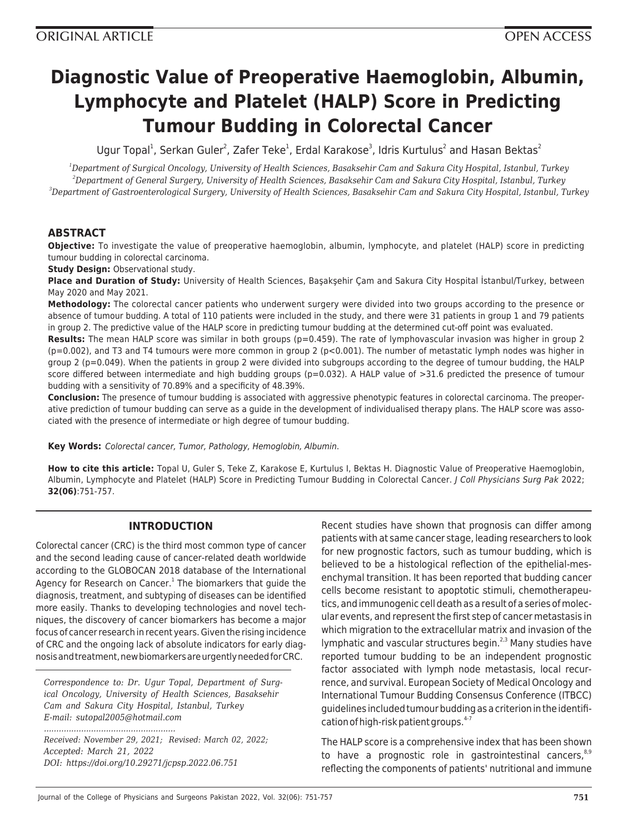# **Diagnostic Value of Preoperative Haemoglobin, Albumin, Lymphocyte and Platelet (HALP) Score in Predicting Tumour Budding in Colorectal Cancer**

Ugur Topal<sup>1</sup>, Serkan Guler<sup>2</sup>, Zafer Teke<sup>1</sup>, Erdal Karakose<sup>3</sup>, Idris Kurtulus<sup>2</sup> and Hasan Bektas<sup>2</sup>

*<sup>1</sup>Department of Surgical Oncology, University of Health Sciences, Basaksehir Cam and Sakura City Hospital, Istanbul, Turkey <sup>2</sup>Department of General Surgery, University of Health Sciences, Basaksehir Cam and Sakura City Hospital, Istanbul, Turkey <sup>3</sup>Department of Gastroenterological Surgery, University of Health Sciences, Basaksehir Cam and Sakura City Hospital, Istanbul, Turkey*

# **ABSTRACT**

**Objective:** To investigate the value of preoperative haemoglobin, albumin, lymphocyte, and platelet (HALP) score in predicting tumour budding in colorectal carcinoma.

**Study Design: Observational study.** 

**Place and Duration of Study:** University of Health Sciences, Başakşehir Çam and Sakura City Hospital İstanbul/Turkey, between May 2020 and May 2021.

**Methodology:** The colorectal cancer patients who underwent surgery were divided into two groups according to the presence or absence of tumour budding. A total of 110 patients were included in the study, and there were 31 patients in group 1 and 79 patients in group 2. The predictive value of the HALP score in predicting tumour budding at the determined cut-off point was evaluated.

**Results:** The mean HALP score was similar in both groups (p=0.459). The rate of lymphovascular invasion was higher in group 2 (p=0.002), and T3 and T4 tumours were more common in group 2 (p<0.001). The number of metastatic lymph nodes was higher in group 2 (p=0.049). When the patients in group 2 were divided into subgroups according to the degree of tumour budding, the HALP score differed between intermediate and high budding groups ( $p=0.032$ ). A HALP value of  $>31.6$  predicted the presence of tumour budding with a sensitivity of 70.89% and a specificity of 48.39%.

**Conclusion:** The presence of tumour budding is associated with aggressive phenotypic features in colorectal carcinoma. The preoperative prediction of tumour budding can serve as a guide in the development of individualised therapy plans. The HALP score was associated with the presence of intermediate or high degree of tumour budding.

**Key Words:** Colorectal cancer, Tumor, Pathology, Hemoglobin, Albumin.

**How to cite this article:** Topal U, Guler S, Teke Z, Karakose E, Kurtulus I, Bektas H. Diagnostic Value of Preoperative Haemoglobin, Albumin, Lymphocyte and Platelet (HALP) Score in Predicting Tumour Budding in Colorectal Cancer. J Coll Physicians Surg Pak 2022; **32(06)**:751-757.

# **INTRODUCTION**

Colorectal cancer (CRC) is the third most common type of cancer and the second leading cause of cancer-related death worldwide according to the GLOBOCAN 2018 database of the International Agency for Research on Cancer.<sup>1</sup> The biomarkers that guide the diagnosis, treatment, and subtyping of diseases can be identified more easily. Thanks to developing technologies and novel techniques, the discovery of cancer biomarkers has become a major focus of cancer research in recent years. Given the rising incidence of CRC and the ongoing lack of absolute indicators for early diagnosis and treatment, new biomarkers are urgently needed for CRC.

*Correspondence to: Dr. Ugur Topal, Department of Surgical Oncology, University of Health Sciences, Basaksehir Cam and Sakura City Hospital, Istanbul, Turkey E-mail: sutopal2005@hotmail.com*

*Received: November 29, 2021; Revised: March 02, 2022; Accepted: March 21, 2022 DOI: https://doi.org/10.29271/jcpsp.2022.06.751*

*.....................................................*

Recent studies have shown that prognosis can differ among patients with at same cancer stage, leading researchers to look for new prognostic factors, such as tumour budding, which is believed to be a histological reflection of the epithelial-mesenchymal transition. It has been reported that budding cancer cells become resistant to apoptotic stimuli, chemotherapeutics, and immunogenic cell death as a result of a series of molecular events, and represent the first step of cancer metastasis in which migration to the extracellular matrix and invasion of the lymphatic and vascular structures begin.<sup>2,3</sup> Many studies have reported tumour budding to be an independent prognostic factor associated with lymph node metastasis, local recurrence, and survival. European Society of Medical Oncology and International Tumour Budding Consensus Conference (ITBCC) guidelines included tumour budding as a criterion in the identification of high-risk patient groups.<sup>4-7</sup>

The HALP score is a comprehensive index that has been shown to have a prognostic role in gastrointestinal cancers, $8.9$ reflecting the components of patients' nutritional and immune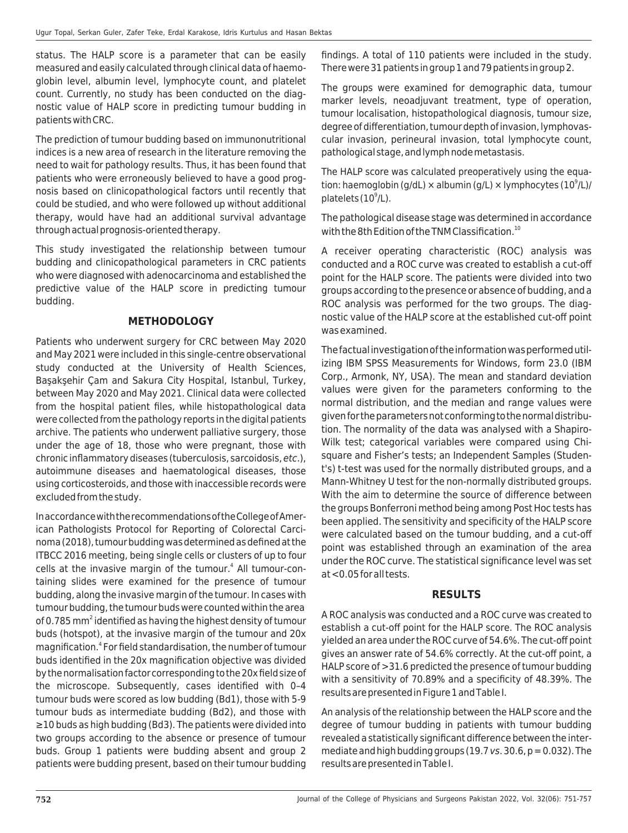status. The HALP score is a parameter that can be easily measured and easily calculated through clinical data of haemoglobin level, albumin level, lymphocyte count, and platelet count. Currently, no study has been conducted on the diagnostic value of HALP score in predicting tumour budding in patients with CRC.

The prediction of tumour budding based on immunonutritional indices is a new area of research in the literature removing the need to wait for pathology results. Thus, it has been found that patients who were erroneously believed to have a good prognosis based on clinicopathological factors until recently that could be studied, and who were followed up without additional therapy, would have had an additional survival advantage through actual prognosis-oriented therapy.

This study investigated the relationship between tumour budding and clinicopathological parameters in CRC patients who were diagnosed with adenocarcinoma and established the predictive value of the HALP score in predicting tumour budding.

## **METHODOLOGY**

Patients who underwent surgery for CRC between May 2020 and May 2021 were included in this single-centre observational study conducted at the University of Health Sciences, Başakşehir Çam and Sakura City Hospital, Istanbul, Turkey, between May 2020 and May 2021. Clinical data were collected from the hospital patient files, while histopathological data were collected from the pathology reports in the digital patients archive. The patients who underwent palliative surgery, those under the age of 18, those who were pregnant, those with chronic inflammatory diseases (tuberculosis, sarcoidosis, etc.), autoimmune diseases and haematological diseases, those using corticosteroids, and those with inaccessible records were excluded from the study.

In accordance with the recommendations of the College of American Pathologists Protocol for Reporting of Colorectal Carcinoma (2018), tumour budding was determined as defined at the ITBCC 2016 meeting, being single cells or clusters of up to four cells at the invasive margin of the tumour.<sup>4</sup> All tumour-containing slides were examined for the presence of tumour budding, along the invasive margin of the tumour. In cases with tumour budding, the tumour buds were counted within the area of 0.785 mm<sup>2</sup> identified as having the highest density of tumour buds (hotspot), at the invasive margin of the tumour and 20x magnification.<sup>4</sup> For field standardisation, the number of tumour buds identified in the 20x magnification objective was divided by the normalisation factor corresponding to the 20x field size of the microscope. Subsequently, cases identified with 0–4 tumour buds were scored as low budding (Bd1), those with 5-9 tumour buds as intermediate budding (Bd2), and those with ≥10 buds as high budding (Bd3). The patients were divided into two groups according to the absence or presence of tumour buds. Group 1 patients were budding absent and group 2 patients were budding present, based on their tumour budding

findings. A total of 110 patients were included in the study. There were 31 patients in group 1 and 79 patients in group 2.

The groups were examined for demographic data, tumour marker levels, neoadjuvant treatment, type of operation, tumour localisation, histopathological diagnosis, tumour size, degree of differentiation, tumour depth of invasion, lymphovascular invasion, perineural invasion, total lymphocyte count, pathological stage, and lymph node metastasis.

The HALP score was calculated preoperatively using the equation: haemoglobin (g/dL) × albumin (g/L) × lymphocytes (10<sup>9</sup>/L)/ platelets  $(10^9/L)$ .

The pathological disease stage was determined in accordance with the 8th Edition of the TNM Classification. $^{10}$ 

A receiver operating characteristic (ROC) analysis was conducted and a ROC curve was created to establish a cut-off point for the HALP score. The patients were divided into two groups according to the presence or absence of budding, and a ROC analysis was performed for the two groups. The diagnostic value of the HALP score at the established cut-off point was examined.

The factual investigation of the information was performed utilizing IBM SPSS Measurements for Windows, form 23.0 (IBM Corp., Armonk, NY, USA). The mean and standard deviation values were given for the parameters conforming to the normal distribution, and the median and range values were given for the parameters not conforming to the normal distribution. The normality of the data was analysed with a Shapiro-Wilk test; categorical variables were compared using Chisquare and Fisher's tests; an Independent Samples (Student's) t-test was used for the normally distributed groups, and a Mann-Whitney U test for the non-normally distributed groups. With the aim to determine the source of difference between the groups Bonferroni method being among Post Hoc tests has been applied. The sensitivity and specificity of the HALP score were calculated based on the tumour budding, and a cut-off point was established through an examination of the area under the ROC curve. The statistical significance level was set at <0.05 for all tests.

## **RESULTS**

A ROC analysis was conducted and a ROC curve was created to establish a cut-off point for the HALP score. The ROC analysis yielded an area under the ROC curve of 54.6%. The cut-off point gives an answer rate of 54.6% correctly. At the cut-off point, a HALP score of >31.6 predicted the presence of tumour budding with a sensitivity of 70.89% and a specificity of 48.39%. The results are presented in Figure 1 and Table I.

An analysis of the relationship between the HALP score and the degree of tumour budding in patients with tumour budding revealed a statistically significant difference between the intermediate and high budding groups (19.7 vs. 30.6,  $p = 0.032$ ). The results are presented in Table I.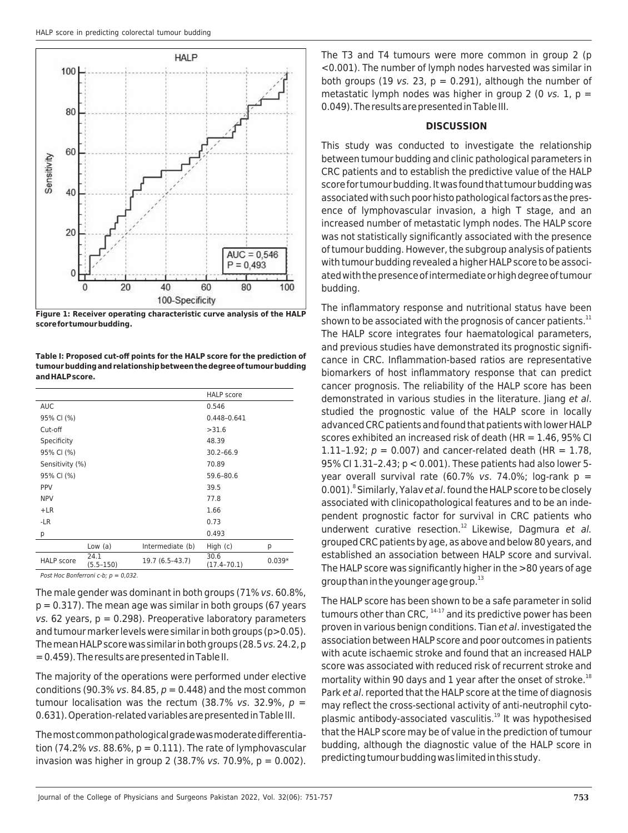

**Figure 1: Receiver operating characteristic curve analysis of the HALP score for tumour budding.**

**Table I: Proposed cut-off points for the HALP score for the prediction of tumour budding and relationship between the degree of tumour budding and HALP score.**

|                   |                       |                  | <b>HALP</b> score       |          |
|-------------------|-----------------------|------------------|-------------------------|----------|
| <b>AUC</b>        |                       |                  | 0.546                   |          |
| 95% CI (%)        |                       |                  | $0.448 - 0.641$         |          |
| Cut-off           |                       |                  | >31.6                   |          |
| Specificity       |                       |                  | 48.39                   |          |
| 95% CI (%)        |                       | $30.2 - 66.9$    |                         |          |
| Sensitivity (%)   |                       |                  | 70.89                   |          |
| 95% CI (%)        |                       |                  | 59.6-80.6               |          |
| <b>PPV</b>        |                       |                  | 39.5                    |          |
| <b>NPV</b>        |                       |                  | 77.8                    |          |
| $+LR$             |                       |                  | 1.66                    |          |
| -LR               |                       |                  | 0.73                    |          |
| p                 |                       |                  | 0.493                   |          |
|                   | Low (a)               | Intermediate (b) | High $(c)$              | p        |
| <b>HALP</b> score | 24.1<br>$(5.5 - 150)$ | 19.7 (6.5-43.7)  | 30.6<br>$(17.4 - 70.1)$ | $0.039*$ |

Post Hoc Bonferroni c-b;  $p = 0.032$ .

The male gender was dominant in both groups (71% vs. 60.8%,  $p = 0.317$ ). The mean age was similar in both groups (67 years  $vs. 62$  years,  $p = 0.298$ ). Preoperative laboratory parameters and tumour marker levels were similar in both groups (p>0.05). The mean HALP score was similar in both groups (28.5 vs. 24.2, p = 0.459). The results are presented in Table II.

The majority of the operations were performed under elective conditions (90.3% vs. 84.85,  $p = 0.448$ ) and the most common tumour localisation was the rectum (38.7% vs. 32.9%,  $p =$ 0.631). Operation-related variables are presented in Table III.

The most common pathological grade was moderate differentiation (74.2% vs. 88.6%,  $p = 0.111$ ). The rate of lymphovascular invasion was higher in group 2 (38.7% vs. 70.9%,  $p = 0.002$ ). The T3 and T4 tumours were more common in group 2 (p <0.001). The number of lymph nodes harvested was similar in both groups (19 vs. 23,  $p = 0.291$ ), although the number of metastatic lymph nodes was higher in group 2 (0 vs. 1,  $p =$ 0.049). The results are presented in Table III.

#### **DISCUSSION**

This study was conducted to investigate the relationship between tumour budding and clinic pathological parameters in CRC patients and to establish the predictive value of the HALP score for tumour budding. It was found that tumour budding was associated with such poor histo pathological factors as the presence of lymphovascular invasion, a high T stage, and an increased number of metastatic lymph nodes. The HALP score was not statistically significantly associated with the presence of tumour budding. However, the subgroup analysis of patients with tumour budding revealed a higher HALP score to be associated with the presence of intermediate or high degree of tumour budding.

The inflammatory response and nutritional status have been shown to be associated with the prognosis of cancer patients.<sup>11</sup> The HALP score integrates four haematological parameters, and previous studies have demonstrated its prognostic significance in CRC. Inflammation-based ratios are representative biomarkers of host inflammatory response that can predict cancer prognosis. The reliability of the HALP score has been demonstrated in various studies in the literature. Jiang et al. studied the prognostic value of the HALP score in locally advanced CRC patients and found that patients with lower HALP scores exhibited an increased risk of death (HR = 1.46, 95% CI 1.11-1.92;  $p = 0.007$ ) and cancer-related death (HR = 1.78, 95% CI 1.31–2.43; p < 0.001). These patients had also lower 5 year overall survival rate (60.7% vs. 74.0%; log-rank  $p =$ 0.001). <sup>8</sup> Similarly, Yalav et al. found the HALP score to be closely associated with clinicopathological features and to be an independent prognostic factor for survival in CRC patients who underwent curative resection.<sup>12</sup> Likewise, Dagmura et al. grouped CRC patients by age, as above and below 80 years, and established an association between HALP score and survival. The HALP score was significantly higher in the >80 years of age group than in the younger age group. $^{13}$ 

The HALP score has been shown to be a safe parameter in solid tumours other than CRC,  $14-17$  and its predictive power has been proven in various benign conditions. Tian et al. investigated the association between HALP score and poor outcomes in patients with acute ischaemic stroke and found that an increased HALP score was associated with reduced risk of recurrent stroke and mortality within 90 days and 1 year after the onset of stroke.<sup>18</sup> Park et al. reported that the HALP score at the time of diagnosis may reflect the cross-sectional activity of anti-neutrophil cytoplasmic antibody-associated vasculitis.<sup>19</sup> It was hypothesised that the HALP score may be of value in the prediction of tumour budding, although the diagnostic value of the HALP score in predicting tumour budding was limited in this study.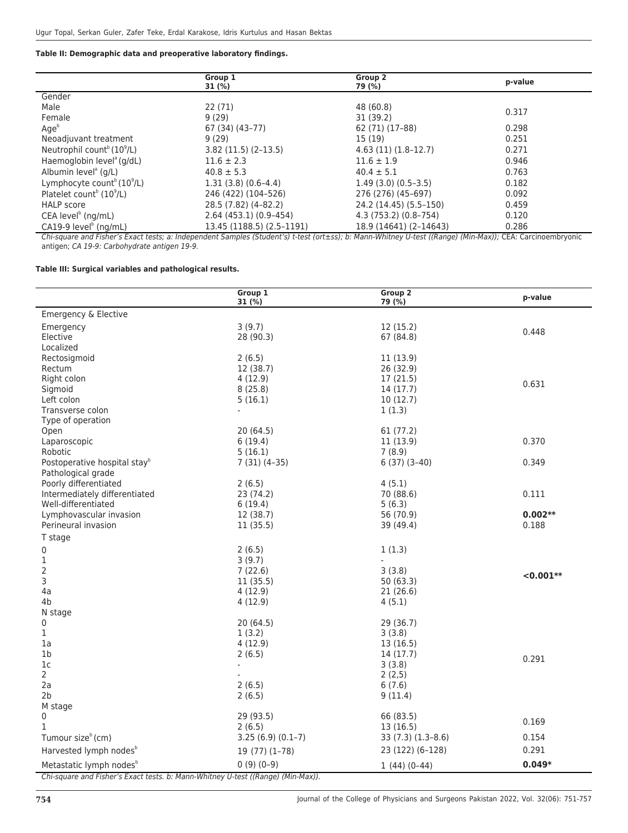#### **Table II: Demographic data and preoperative laboratory findings.**

|                                                    | Group 1                   | Group 2                | p-value |
|----------------------------------------------------|---------------------------|------------------------|---------|
|                                                    | 31 (%)                    | 79 (%)                 |         |
| Gender                                             |                           |                        |         |
| Male                                               | 22(71)                    | 48 (60.8)              | 0.317   |
| Female                                             | 9(29)                     | 31 (39.2)              |         |
| Age <sup>b</sup>                                   | 67 (34) (43–77)           | 62 (71) (17-88)        | 0.298   |
| Neoadjuvant treatment                              | 9(29)                     | 15 (19)                | 0.251   |
| Neutrophil count <sup>b</sup> (10 <sup>9</sup> /L) | $3.82(11.5)(2-13.5)$      | $4.63(11)(1.8-12.7)$   | 0.271   |
| Haemoglobin level <sup>®</sup> (g/dL)              | $11.6 \pm 2.3$            | $11.6 \pm 1.9$         | 0.946   |
| Albumin level <sup>a</sup> (g/L)                   | $40.8 \pm 5.3$            | $40.4 \pm 5.1$         | 0.763   |
| Lymphocyte count <sup>b</sup> (10 <sup>9</sup> /L) | $1.31(3.8)(0.6-4.4)$      | $1.49(3.0)(0.5-3.5)$   | 0.182   |
| Platelet count <sup>b</sup> $(10^9/L)$             | 246 (422) (104-526)       | 276 (276) (45-697)     | 0.092   |
| <b>HALP</b> score                                  | 28.5 (7.82) (4-82.2)      | 24.2 (14.45) (5.5–150) | 0.459   |
| CEA level <sup>b</sup> (ng/mL)                     | $2.64(453.1)(0.9-454)$    | 4.3 (753.2) (0.8–754)  | 0.120   |
| CA19-9 level <sup>b</sup> (ng/mL)                  | 13.45 (1188.5) (2.5-1191) | 18.9 (14641) (2-14643) | 0.286   |
|                                                    |                           |                        |         |

Chi-square and Fisher's Exact tests; a: Independent Samples (Student's) t-test (ort±ss); b: Mann-Whitney U-test ((Range) (Min-Max)); CEA: Carcinoembryonic antigen; CA 19-9: Carbohydrate antigen 19-9.

#### **Table III: Surgical variables and pathological results.**

|                                                                                  | Group 1<br>31(%)    | Group 2<br>79 (%)     | p-value     |  |  |  |
|----------------------------------------------------------------------------------|---------------------|-----------------------|-------------|--|--|--|
| Emergency & Elective                                                             |                     |                       |             |  |  |  |
| Emergency                                                                        | 3(9.7)              | 12(15.2)              | 0.448       |  |  |  |
| Elective                                                                         | 28 (90.3)           | 67 (84.8)             |             |  |  |  |
| Localized                                                                        |                     |                       |             |  |  |  |
| Rectosigmoid                                                                     | 2(6.5)              | 11(13.9)              |             |  |  |  |
| Rectum                                                                           | 12 (38.7)           | 26(32.9)              |             |  |  |  |
| Right colon                                                                      | 4(12.9)             | 17(21.5)              | 0.631       |  |  |  |
| Sigmoid                                                                          | 8(25.8)             | 14 (17.7)             |             |  |  |  |
| Left colon                                                                       | 5(16.1)             | 10(12.7)              |             |  |  |  |
| Transverse colon                                                                 | ä,                  | 1(1.3)                |             |  |  |  |
| Type of operation                                                                |                     |                       |             |  |  |  |
| Open<br>Laparoscopic                                                             | 20(64.5)<br>6(19.4) | 61(77.2)<br>11 (13.9) | 0.370       |  |  |  |
| Robotic                                                                          | 5(16.1)             | 7(8.9)                |             |  |  |  |
| Postoperative hospital stay <sup>b</sup>                                         | $7(31)(4-35)$       | $6(37)(3-40)$         | 0.349       |  |  |  |
| Pathological grade                                                               |                     |                       |             |  |  |  |
| Poorly differentiated                                                            | 2(6.5)              | 4(5.1)                |             |  |  |  |
| Intermediately differentiated                                                    | 23 (74.2)           | 70 (88.6)             | 0.111       |  |  |  |
| Well-differentiated                                                              | 6(19.4)             | 5(6.3)                |             |  |  |  |
| Lymphovascular invasion                                                          | 12 (38.7)           | 56 (70.9)             | $0.002**$   |  |  |  |
| Perineural invasion                                                              | 11(35.5)            | 39 (49.4)             | 0.188       |  |  |  |
| T stage                                                                          |                     |                       |             |  |  |  |
| 0                                                                                | 2(6.5)              | 1(1.3)                |             |  |  |  |
| $\mathbf 1$                                                                      | 3(9.7)              | ÷,                    |             |  |  |  |
| 2                                                                                | 7(22.6)             | 3(3.8)                |             |  |  |  |
| 3                                                                                | 11(35.5)            | 50(63.3)              | $< 0.001**$ |  |  |  |
| 4a                                                                               | 4(12.9)             | 21(26.6)              |             |  |  |  |
| 4b                                                                               | 4(12.9)             | 4(5.1)                |             |  |  |  |
| N stage                                                                          |                     |                       |             |  |  |  |
| 0                                                                                | 20(64.5)            | 29 (36.7)             |             |  |  |  |
| 1                                                                                | 1(3.2)              | 3(3.8)                |             |  |  |  |
| 1a                                                                               | 4(12.9)             | 13(16.5)              |             |  |  |  |
| 1b                                                                               | 2(6.5)              | 14(17.7)              | 0.291       |  |  |  |
| 1 <sub>c</sub>                                                                   | $\mathbf{r}$        | 3(3.8)                |             |  |  |  |
| $\overline{2}$                                                                   |                     | 2(2,5)                |             |  |  |  |
| 2a                                                                               | 2(6.5)              | 6(7.6)                |             |  |  |  |
| 2 <sub>b</sub>                                                                   | 2(6.5)              | 9(11.4)               |             |  |  |  |
| M stage<br>0                                                                     | 29 (93.5)           | 66 (83.5)             |             |  |  |  |
| $\mathbf{1}$                                                                     | 2(6.5)              | 13(16.5)              | 0.169       |  |  |  |
| Tumour size <sup>b</sup> (cm)                                                    | $3.25(6.9)(0.1-7)$  | $33(7.3)(1.3-8.6)$    | 0.154       |  |  |  |
| Harvested lymph nodes <sup>b</sup>                                               | $19(77)(1-78)$      | 23 (122) (6-128)      | 0.291       |  |  |  |
| Metastatic lymph nodes <sup>b</sup>                                              | $0(9)(0-9)$         | $1(44)(0-44)$         | $0.049*$    |  |  |  |
| Chi-square and Fisher's Exact tests. b: Mann-Whitney U-test ((Range) (Min-Max)). |                     |                       |             |  |  |  |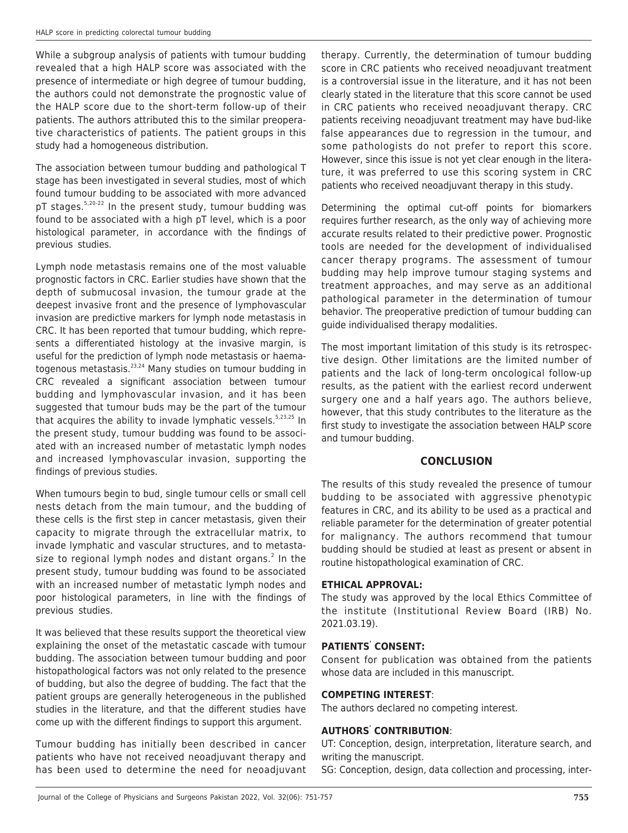While a subgroup analysis of patients with tumour budding revealed that a high HALP score was associated with the presence of intermediate or high degree of tumour budding, the authors could not demonstrate the prognostic value of the HALP score due to the short-term follow-up of their patients. The authors attributed this to the similar preoperative characteristics of patients. The patient groups in this study had a homogeneous distribution.

The association between tumour budding and pathological T stage has been investigated in several studies, most of which found tumour budding to be associated with more advanced  $pT$  stages.<sup>5,20-22</sup> In the present study, tumour budding was found to be associated with a high pT level, which is a poor histological parameter, in accordance with the findings of previous studies.

Lymph node metastasis remains one of the most valuable prognostic factors in CRC. Earlier studies have shown that the depth of submucosal invasion, the tumour grade at the deepest invasive front and the presence of lymphovascular invasion are predictive markers for lymph node metastasis in CRC. It has been reported that tumour budding, which represents a differentiated histology at the invasive margin, is useful for the prediction of lymph node metastasis or haematogenous metastasis.<sup>23,24</sup> Many studies on tumour budding in CRC revealed a significant association between tumour budding and lymphovascular invasion, and it has been suggested that tumour buds may be the part of the tumour that acquires the ability to invade lymphatic vessels. $5,23,25$  In the present study, tumour budding was found to be associated with an increased number of metastatic lymph nodes and increased lymphovascular invasion, supporting the findings of previous studies.

When tumours begin to bud, single tumour cells or small cell nests detach from the main tumour, and the budding of these cells is the first step in cancer metastasis, given their capacity to migrate through the extracellular matrix, to invade lymphatic and vascular structures, and to metastasize to regional lymph nodes and distant organs.<sup>2</sup> In the present study, tumour budding was found to be associated with an increased number of metastatic lymph nodes and poor histological parameters, in line with the findings of previous studies.

It was believed that these results support the theoretical view explaining the onset of the metastatic cascade with tumour budding. The association between tumour budding and poor histopathological factors was not only related to the presence of budding, but also the degree of budding. The fact that the patient groups are generally heterogeneous in the published studies in the literature, and that the different studies have come up with the different findings to support this argument.

Tumour budding has initially been described in cancer patients who have not received neoadjuvant therapy and has been used to determine the need for neoadjuvant therapy. Currently, the determination of tumour budding score in CRC patients who received neoadjuvant treatment is a controversial issue in the literature, and it has not been clearly stated in the literature that this score cannot be used in CRC patients who received neoadjuvant therapy. CRC patients receiving neoadjuvant treatment may have bud-like false appearances due to regression in the tumour, and some pathologists do not prefer to report this score. However, since this issue is not yet clear enough in the literature, it was preferred to use this scoring system in CRC patients who received neoadjuvant therapy in this study.

Determining the optimal cut-off points for biomarkers requires further research, as the only way of achieving more accurate results related to their predictive power. Prognostic tools are needed for the development of individualised cancer therapy programs. The assessment of tumour budding may help improve tumour staging systems and treatment approaches, and may serve as an additional pathological parameter in the determination of tumour behavior. The preoperative prediction of tumour budding can guide individualised therapy modalities.

The most important limitation of this study is its retrospective design. Other limitations are the limited number of patients and the lack of long-term oncological follow-up results, as the patient with the earliest record underwent surgery one and a half years ago. The authors believe, however, that this study contributes to the literature as the first study to investigate the association between HALP score and tumour budding.

# **CONCLUSION**

The results of this study revealed the presence of tumour budding to be associated with aggressive phenotypic features in CRC, and its ability to be used as a practical and reliable parameter for the determination of greater potential for malignancy. The authors recommend that tumour budding should be studied at least as present or absent in routine histopathological examination of CRC.

## **ETHICAL APPROVAL:**

The study was approved by the local Ethics Committee of the institute (Institutional Review Board (IRB) No. 2021.03.19).

## **PATIENTS' CONSENT:**

Consent for publication was obtained from the patients whose data are included in this manuscript.

# **COMPETING INTEREST**:

The authors declared no competing interest.

# **AUTHORS' CONTRIBUTION**:

UT: Conception, design, interpretation, literature search, and writing the manuscript.

SG: Conception, design, data collection and processing, inter-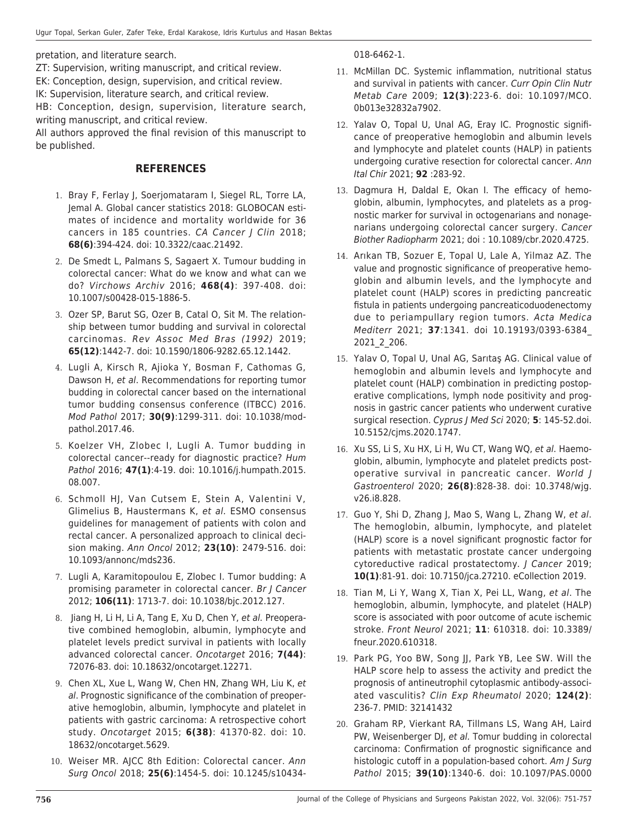pretation, and literature search.

ZT: Supervision, writing manuscript, and critical review. EK: Conception, design, supervision, and critical review.

IK: Supervision, literature search, and critical review.

HB: Conception, design, supervision, literature search, writing manuscript, and critical review.

All authors approved the final revision of this manuscript to be published.

## **REFERENCES**

- 1. Bray F, Ferlay J, Soerjomataram I, Siegel RL, Torre LA, Jemal A. Global cancer statistics 2018: GLOBOCAN estimates of incidence and mortality worldwide for 36 cancers in 185 countries. CA Cancer J Clin 2018; **68(6)**:394-424. doi: 10.3322/caac.21492.
- 2. De Smedt L, Palmans S, Sagaert X. Tumour budding in colorectal cancer: What do we know and what can we do? Virchows Archiv 2016; **468(4)**: 397-408. doi: 10.1007/s00428-015-1886-5.
- 3. Ozer SP, Barut SG, Ozer B, Catal O, Sit M. The relationship between tumor budding and survival in colorectal carcinomas. Rev Assoc Med Bras (1992) 2019; **65(12)**:1442-7. doi: 10.1590/1806-9282.65.12.1442.
- 4. Lugli A, Kirsch R, Ajioka Y, Bosman F, Cathomas G, Dawson H, et al. Recommendations for reporting tumor budding in colorectal cancer based on the international tumor budding consensus conference (ITBCC) 2016. Mod Pathol 2017; **30(9)**:1299-311. doi: 10.1038/modpathol.2017.46.
- 5. Koelzer VH, Zlobec I, Lugli A. Tumor budding in colorectal cancer--ready for diagnostic practice? Hum Pathol 2016; **47(1)**:4-19. doi: 10.1016/j.humpath.2015. 08.007.
- 6. Schmoll HJ, Van Cutsem E, Stein A, Valentini V, Glimelius B, Haustermans K, et al. ESMO consensus guidelines for management of patients with colon and rectal cancer. A personalized approach to clinical decision making. Ann Oncol 2012; **23(10)**: 2479-516. doi: 10.1093/annonc/mds236.
- 7. Lugli A, Karamitopoulou E, Zlobec I. Tumor budding: A promising parameter in colorectal cancer. Br J Cancer 2012; **106(11)**: 1713-7. doi: 10.1038/bjc.2012.127.
- 8. Jiang H, Li H, Li A, Tang E, Xu D, Chen Y, et al. Preoperative combined hemoglobin, albumin, lymphocyte and platelet levels predict survival in patients with locally advanced colorectal cancer. Oncotarget 2016; **7(44)**: 72076-83. doi: 10.18632/oncotarget.12271.
- 9. Chen XL, Xue L, Wang W, Chen HN, Zhang WH, Liu K, et al. Prognostic significance of the combination of preoperative hemoglobin, albumin, lymphocyte and platelet in patients with gastric carcinoma: A retrospective cohort study. Oncotarget 2015; **6(38)**: 41370-82. doi: 10. 18632/oncotarget.5629.
- 10. Weiser MR. AJCC 8th Edition: Colorectal cancer. Ann Surg Oncol 2018; **25(6)**:1454-5. doi: 10.1245/s10434-

018-6462-1.

- 11. McMillan DC. Systemic inflammation, nutritional status and survival in patients with cancer. Curr Opin Clin Nutr Metab Care 2009; **12(3)**:223-6. doi: 10.1097/MCO. 0b013e32832a7902.
- 12. Yalav O, Topal U, Unal AG, Eray IC. Prognostic significance of preoperative hemoglobin and albumin levels and lymphocyte and platelet counts (HALP) in patients undergoing curative resection for colorectal cancer. Ann Ital Chir 2021; **92** :283-92.
- 13. Dagmura H, Daldal E, Okan I. The efficacy of hemoglobin, albumin, lymphocytes, and platelets as a prognostic marker for survival in octogenarians and nonagenarians undergoing colorectal cancer surgery. Cancer Biother Radiopharm 2021; doi : 10.1089/cbr.2020.4725.
- 14. Arıkan TB, Sozuer E, Topal U, Lale A, Yilmaz AZ. The value and prognostic significance of preoperative hemoglobin and albumin levels, and the lymphocyte and platelet count (HALP) scores in predicting pancreatic fistula in patients undergoing pancreaticoduodenectomy due to periampullary region tumors. Acta Medica Mediterr 2021; **37**:1341. doi 10.19193/0393-6384\_ 2021\_2\_206.
- 15. Yalav O, Topal U, Unal AG, Sarıtaş AG. Clinical value of hemoglobin and albumin levels and lymphocyte and platelet count (HALP) combination in predicting postoperative complications, lymph node positivity and prognosis in gastric cancer patients who underwent curative surgical resection. Cyprus J Med Sci 2020; **5**: 145-52.doi. 10.5152/cjms.2020.1747.
- 16. Xu SS, Li S, Xu HX, Li H, Wu CT, Wang WQ, et al. Haemoglobin, albumin, lymphocyte and platelet predicts postoperative survival in pancreatic cancer. World J Gastroenterol 2020; **26(8)**:828-38. doi: 10.3748/wjg. v26.i8.828.
- 17. Guo Y, Shi D, Zhang J, Mao S, Wang L, Zhang W, et al. The hemoglobin, albumin, lymphocyte, and platelet (HALP) score is a novel significant prognostic factor for patients with metastatic prostate cancer undergoing cytoreductive radical prostatectomy. J Cancer 2019; **10(1)**:81-91. doi: 10.7150/jca.27210. eCollection 2019.
- 18. Tian M, Li Y, Wang X, Tian X, Pei LL, Wang, et al. The hemoglobin, albumin, lymphocyte, and platelet (HALP) score is associated with poor outcome of acute ischemic stroke. Front Neurol 2021; **11**: 610318. doi: 10.3389/ fneur.2020.610318.
- 19. Park PG, Yoo BW, Song II, Park YB, Lee SW. Will the HALP score help to assess the activity and predict the prognosis of antineutrophil cytoplasmic antibody-associated vasculitis? Clin Exp Rheumatol 2020; **124(2)**: 236-7. PMID: 32141432
- 20. Graham RP, Vierkant RA, Tillmans LS, Wang AH, Laird PW, Weisenberger DJ, et al. Tomur budding in colorectal carcinoma: Confirmation of prognostic significance and histologic cutoff in a population-based cohort. Am J Surg Pathol 2015; **39(10)**:1340-6. doi: 10.1097/PAS.0000